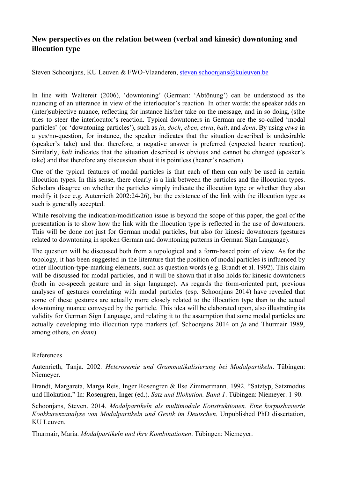## **New perspectives on the relation between (verbal and kinesic) downtoning and illocution type**

Steven Schoonjans, KU Leuven & FWO-Vlaanderen, [steven.schoonjans@kuleuven.be](mailto:steven.schoonjans@kuleuven.be)

In line with Waltereit (2006), 'downtoning' (German: 'Abtönung') can be understood as the nuancing of an utterance in view of the interlocutor's reaction. In other words: the speaker adds an (inter)subjective nuance, reflecting for instance his/her take on the message, and in so doing, (s)he tries to steer the interlocutor's reaction. Typical downtoners in German are the socalled 'modal particles' (or 'downtoning particles'), such as *ja*, *doch*, *eben*, *etwa*, *halt*, and *denn*. By using *etwa* in a yes/no-question, for instance, the speaker indicates that the situation described is undesirable (speaker's take) and that therefore, a negative answer is preferred (expected hearer reaction). Similarly, *halt* indicates that the situation described is obvious and cannot be changed (speaker's take) and that therefore any discussion about it is pointless (hearer's reaction).

One of the typical features of modal particles is that each of them can only be used in certain illocution types. In this sense, there clearly is a link between the particles and the illocution types. Scholars disagree on whether the particles simply indicate the illocution type or whether they also modify it (see e.g. Autenrieth 2002:2426), but the existence of the link with the illocution type as such is generally accepted.

While resolving the indication/modification issue is beyond the scope of this paper, the goal of the presentation is to show how the link with the illocution type is reflected in the use of downtoners. This will be done not just for German modal particles, but also for kinesic downtoners (gestures related to downtoning in spoken German and downtoning patterns in German Sign Language).

The question will be discussed both from a topological and a form-based point of view. As for the topology, it has been suggested in the literature that the position of modal particles is influenced by other illocution-type-marking elements, such as question words (e.g. Brandt et al. 1992). This claim will be discussed for modal particles, and it will be shown that it also holds for kinesic downtoners (both in co-speech gesture and in sign language). As regards the form-oriented part, previous analyses of gestures correlating with modal particles (esp. Schoonjans 2014) have revealed that some of these gestures are actually more closely related to the illocution type than to the actual downtoning nuance conveyed by the particle. This idea will be elaborated upon, also illustrating its validity for German Sign Language, and relating it to the assumption that some modal particles are actually developing into illocution type markers (cf. Schoonjans 2014 on *ja* and Thurmair 1989, among others, on *denn*).

## References

Autenrieth, Tanja. 2002. *Heterosemie und Grammatikalisierung bei Modalpartikeln*. Tübingen: Niemeyer.

Brandt, Margareta, Marga Reis, Inger Rosengren & Ilse Zimmermann. 1992. "Satztyp, Satzmodus und Illokution." In: Rosengren, Inger (ed.). *Satz und Illokution. Band 1*. Tübingen: Niemeyer. 190.

Schoonjans, Steven. 2014. *Modalpartikeln als multimodale Konstruktionen. Eine korpusbasierte Kookkurenzanalyse von Modalpartikeln und Gestik im Deutschen*. Unpublished PhD dissertation, KU Leuven.

Thurmair, Maria. *Modalpartikeln und ihre Kombinationen*. Tübingen: Niemeyer.